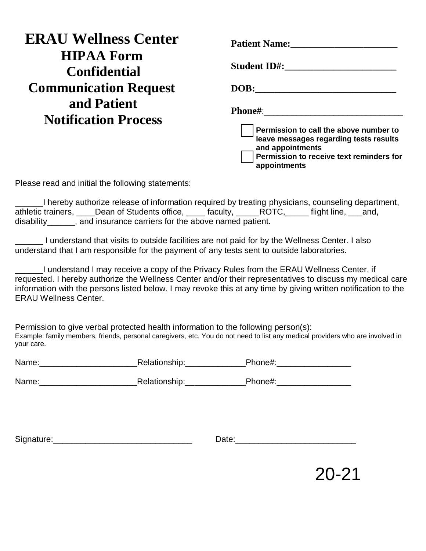| <b>ERAU Wellness Center</b>                | <b>Patient Name:</b>                                                                                                                                                               |
|--------------------------------------------|------------------------------------------------------------------------------------------------------------------------------------------------------------------------------------|
| <b>HIPAA Form</b><br><b>Confidential</b>   | <b>Student ID#:</b>                                                                                                                                                                |
| <b>Communication Request</b>               | DOB:                                                                                                                                                                               |
| and Patient<br><b>Notification Process</b> | <b>Phone#:</b><br>Permission to call the above number to<br>leave messages regarding tests results<br>and appointments<br>Permission to receive text reminders for<br>appointments |

Please read and initial the following statements:

\_\_\_\_\_\_I hereby authorize release of information required by treating physicians, counseling department, athletic trainers, \_\_\_\_Dean of Students office, \_\_\_\_\_ faculty, \_\_\_\_\_ROTC, \_\_\_\_\_ flight line, \_\_\_and, disability\_\_\_\_\_\_, and insurance carriers for the above named patient.

\_\_\_\_\_\_ I understand that visits to outside facilities are not paid for by the Wellness Center. I also understand that I am responsible for the payment of any tests sent to outside laboratories.

\_\_\_\_\_\_I understand I may receive a copy of the Privacy Rules from the ERAU Wellness Center, if requested. I hereby authorize the Wellness Center and/or their representatives to discuss my medical care information with the persons listed below. I may revoke this at any time by giving written notification to the ERAU Wellness Center.

Permission to give verbal protected health information to the following person(s): Example: family members, friends, personal caregivers, etc. You do not need to list any medical providers who are involved in your care.

| Name: | Relationship: | Phone# |
|-------|---------------|--------|
|       |               |        |

Name:\_\_\_\_\_\_\_\_\_\_\_\_\_\_\_\_\_\_\_\_\_Relationship:\_\_\_\_\_\_\_\_\_\_\_\_\_Phone#:\_\_\_\_\_\_\_\_\_\_\_\_\_\_\_\_

Signature:\_\_\_\_\_\_\_\_\_\_\_\_\_\_\_\_\_\_\_\_\_\_\_\_\_\_\_\_\_\_ Date:\_\_\_\_\_\_\_\_\_\_\_\_\_\_\_\_\_\_\_\_\_\_\_\_\_\_

20-21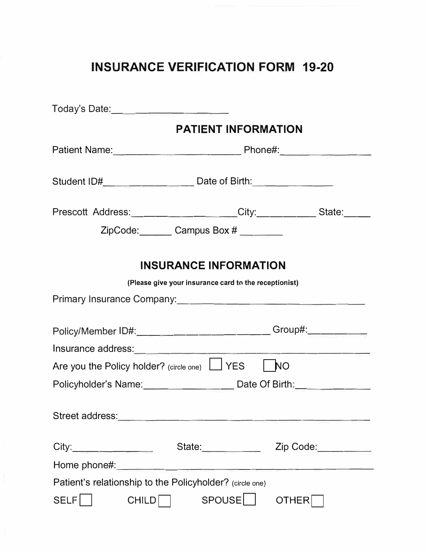## **INSURANCE VERIFICATION FORM 19-20**

|                                                                                  | <b>PATIENT INFORMATION</b>                                                                                                                                                                      |              |  |  |
|----------------------------------------------------------------------------------|-------------------------------------------------------------------------------------------------------------------------------------------------------------------------------------------------|--------------|--|--|
|                                                                                  |                                                                                                                                                                                                 |              |  |  |
| Student ID#__________________________ Date of Birth:____________________________ |                                                                                                                                                                                                 |              |  |  |
| Prescott Address: _________________City: __________State: ____                   |                                                                                                                                                                                                 |              |  |  |
|                                                                                  | ZipCode: Campus Box #                                                                                                                                                                           |              |  |  |
|                                                                                  | <b>INSURANCE INFORMATION</b><br>(Please give your insurance card to the receptionist)                                                                                                           |              |  |  |
|                                                                                  |                                                                                                                                                                                                 |              |  |  |
| Policy/Member ID#:__________________________Group#:__________                    |                                                                                                                                                                                                 |              |  |  |
|                                                                                  |                                                                                                                                                                                                 |              |  |  |
| Are you the Policy holder? (circle one) U YES                                    |                                                                                                                                                                                                 | l NO         |  |  |
| Policyholder's Name: ________________ Date Of Birth: ___________                 |                                                                                                                                                                                                 |              |  |  |
|                                                                                  |                                                                                                                                                                                                 |              |  |  |
| City:                                                                            | State: $\frac{1}{\sqrt{1-\frac{1}{2}}\cdot\frac{1}{\sqrt{1-\frac{1}{2}}\cdot\frac{1}{2}}\cdot\frac{1}{\sqrt{1-\frac{1}{2}}\cdot\frac{1}{2}}\cdot\frac{1}{\sqrt{1-\frac{1}{2}}\cdot\frac{1}{2}}$ | Zip Code:    |  |  |
|                                                                                  |                                                                                                                                                                                                 |              |  |  |
| Patient's relationship to the Policyholder? (circle one)                         |                                                                                                                                                                                                 |              |  |  |
| SELF <sup>1</sup><br>CHILD                                                       | SPOUSE                                                                                                                                                                                          | <b>OTHER</b> |  |  |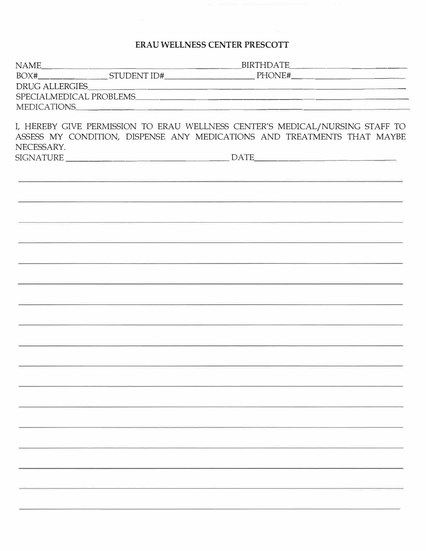## **ERAU WELLNESS CENTER PRESCOTT**

|            |             | DRUG ALLERGIES                                                                                                                                          |  |
|------------|-------------|---------------------------------------------------------------------------------------------------------------------------------------------------------|--|
|            |             |                                                                                                                                                         |  |
|            | MEDICATIONS |                                                                                                                                                         |  |
| NECESSARY. |             | I, HEREBY GIVE PERMISSION TO ERAU WELLNESS CENTER'S MEDICAL/NURSING STAFF TO<br>ASSESS MY CONDITION, DISPENSE ANY MEDICATIONS AND TREATMENTS THAT MAYBE |  |
|            |             |                                                                                                                                                         |  |
|            |             |                                                                                                                                                         |  |
|            |             |                                                                                                                                                         |  |
|            |             |                                                                                                                                                         |  |
|            |             |                                                                                                                                                         |  |
|            |             |                                                                                                                                                         |  |
|            |             |                                                                                                                                                         |  |
|            |             |                                                                                                                                                         |  |
|            |             |                                                                                                                                                         |  |
|            |             |                                                                                                                                                         |  |
|            |             |                                                                                                                                                         |  |
|            |             |                                                                                                                                                         |  |
|            |             |                                                                                                                                                         |  |
|            |             |                                                                                                                                                         |  |
|            |             |                                                                                                                                                         |  |
|            |             |                                                                                                                                                         |  |
|            |             |                                                                                                                                                         |  |
|            |             |                                                                                                                                                         |  |
|            |             |                                                                                                                                                         |  |
|            |             |                                                                                                                                                         |  |
|            |             |                                                                                                                                                         |  |
|            |             |                                                                                                                                                         |  |
|            |             |                                                                                                                                                         |  |
|            |             |                                                                                                                                                         |  |
|            |             |                                                                                                                                                         |  |
|            |             |                                                                                                                                                         |  |
|            |             |                                                                                                                                                         |  |
|            |             |                                                                                                                                                         |  |
|            |             |                                                                                                                                                         |  |
|            |             |                                                                                                                                                         |  |
|            |             |                                                                                                                                                         |  |
|            |             |                                                                                                                                                         |  |
|            |             |                                                                                                                                                         |  |
|            |             |                                                                                                                                                         |  |